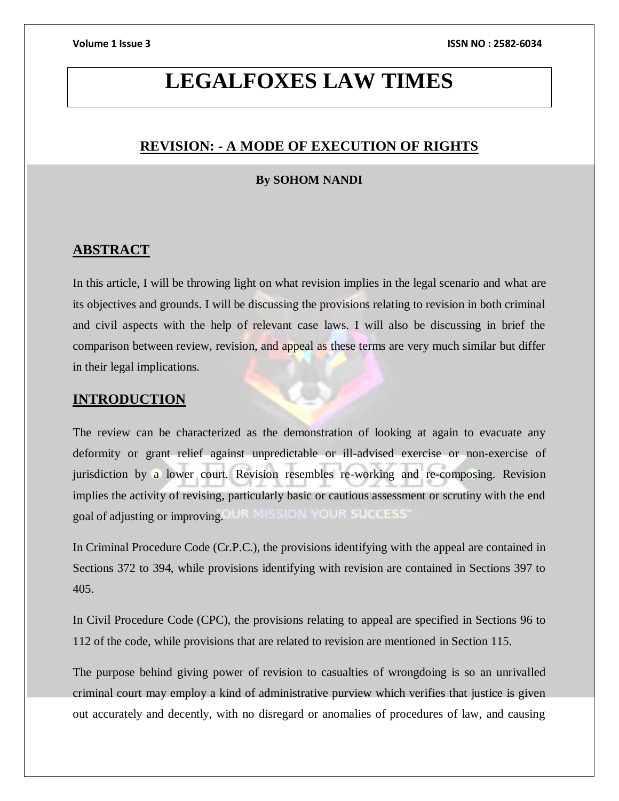# **LEGALFOXES LAW TIMES**

## **REVISION: - A MODE OF EXECUTION OF RIGHTS**

### **By SOHOM NANDI**

## **ABSTRACT**

In this article, I will be throwing light on what revision implies in the legal scenario and what are its objectives and grounds. I will be discussing the provisions relating to revision in both criminal and civil aspects with the help of relevant case laws. I will also be discussing in brief the comparison between review, revision, and appeal as these terms are very much similar but differ in their legal implications.

## **INTRODUCTION**

The review can be characterized as the demonstration of looking at again to evacuate any deformity or grant relief against unpredictable or ill-advised exercise or non-exercise of jurisdiction by a lower court. Revision resembles re-working and re-composing. Revision implies the activity of revising, particularly basic or cautious assessment or scrutiny with the end goal of adjusting or improving. OUR MILSION YOUR SUCCESS'

In Criminal Procedure Code (Cr.P.C.), the provisions identifying with the appeal are contained in Sections 372 to 394, while provisions identifying with revision are contained in Sections 397 to 405.

In Civil Procedure Code (CPC), the provisions relating to appeal are specified in Sections 96 to 112 of the code, while provisions that are related to revision are mentioned in Section 115.

The purpose behind giving power of revision to casualties of wrongdoing is so an unrivalled criminal court may employ a kind of administrative purview which verifies that justice is given out accurately and decently, with no disregard or anomalies of procedures of law, and causing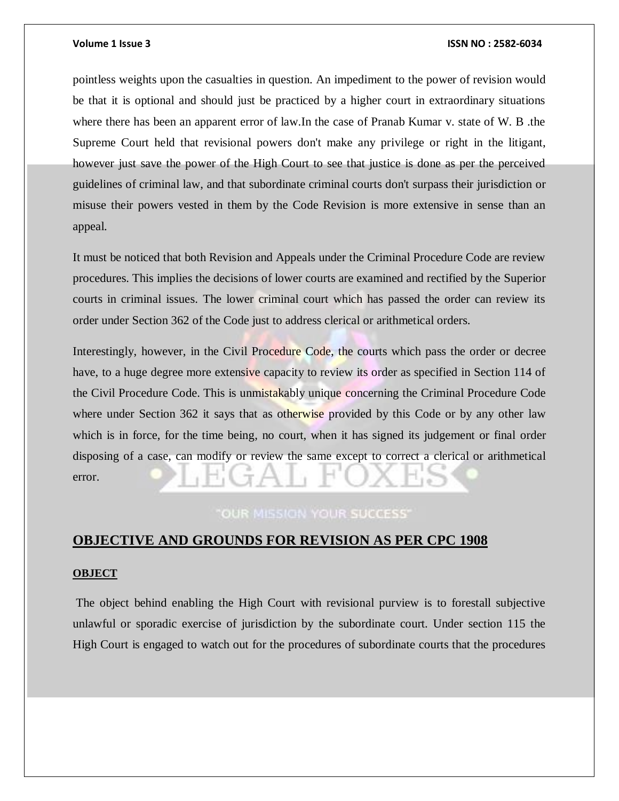#### **Volume 1 Issue 3 ISSN NO : 2582-6034**

pointless weights upon the casualties in question. An impediment to the power of revision would be that it is optional and should just be practiced by a higher court in extraordinary situations where there has been an apparent error of law.In the case of Pranab Kumar v. state of W. B .the Supreme Court held that revisional powers don't make any privilege or right in the litigant, however just save the power of the High Court to see that justice is done as per the perceived guidelines of criminal law, and that subordinate criminal courts don't surpass their jurisdiction or misuse their powers vested in them by the Code Revision is more extensive in sense than an appeal.

It must be noticed that both Revision and Appeals under the Criminal Procedure Code are review procedures. This implies the decisions of lower courts are examined and rectified by the Superior courts in criminal issues. The lower criminal court which has passed the order can review its order under Section 362 of the Code just to address clerical or arithmetical orders.

Interestingly, however, in the Civil Procedure Code, the courts which pass the order or decree have, to a huge degree more extensive capacity to review its order as specified in Section 114 of the Civil Procedure Code. This is unmistakably unique concerning the Criminal Procedure Code where under Section 362 it says that as otherwise provided by this Code or by any other law which is in force, for the time being, no court, when it has signed its judgement or final order disposing of a case, can modify or review the same except to correct a clerical or arithmetical error.

## **OUR MISSION YOUR SUCCESS'**

## **OBJECTIVE AND GROUNDS FOR REVISION AS PER CPC 1908**

#### **OBJECT**

The object behind enabling the High Court with revisional purview is to forestall subjective unlawful or sporadic exercise of jurisdiction by the subordinate court. Under section 115 the High Court is engaged to watch out for the procedures of subordinate courts that the procedures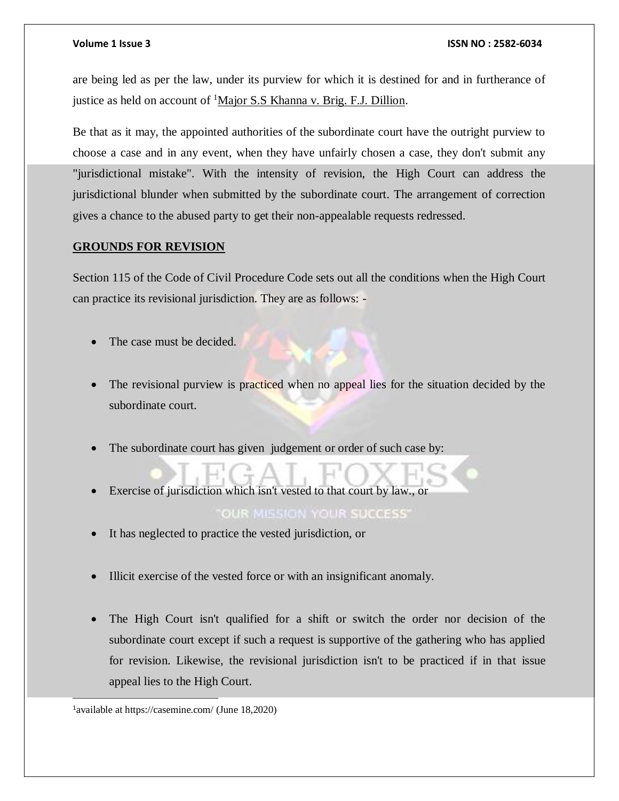#### **Volume 1 Issue 3 ISSN NO : 2582-6034**

are being led as per the law, under its purview for which it is destined for and in furtherance of justice as held on account of <sup>1</sup>Major S.S Khanna v. Brig. F.J. Dillion.

Be that as it may, the appointed authorities of the subordinate court have the outright purview to choose a case and in any event, when they have unfairly chosen a case, they don't submit any "jurisdictional mistake". With the intensity of revision, the High Court can address the jurisdictional blunder when submitted by the subordinate court. The arrangement of correction gives a chance to the abused party to get their non-appealable requests redressed.

## **GROUNDS FOR REVISION**

Section 115 of the Code of Civil Procedure Code sets out all the conditions when the High Court can practice its revisional jurisdiction. They are as follows: -

- The case must be decided.
- The revisional purview is practiced when no appeal lies for the situation decided by the subordinate court.
- The subordinate court has given judgement or order of such case by:
- Exercise of jurisdiction which isn't vested to that court by law., or

## **OUR MISSION YOUR SUCCESS'**

- It has neglected to practice the vested jurisdiction, or
- Illicit exercise of the vested force or with an insignificant anomaly.
- The High Court isn't qualified for a shift or switch the order nor decision of the subordinate court except if such a request is supportive of the gathering who has applied for revision. Likewise, the revisional jurisdiction isn't to be practiced if in that issue appeal lies to the High Court.

l

<sup>&</sup>lt;sup>1</sup> available at https://casemine.com/ (June 18,2020)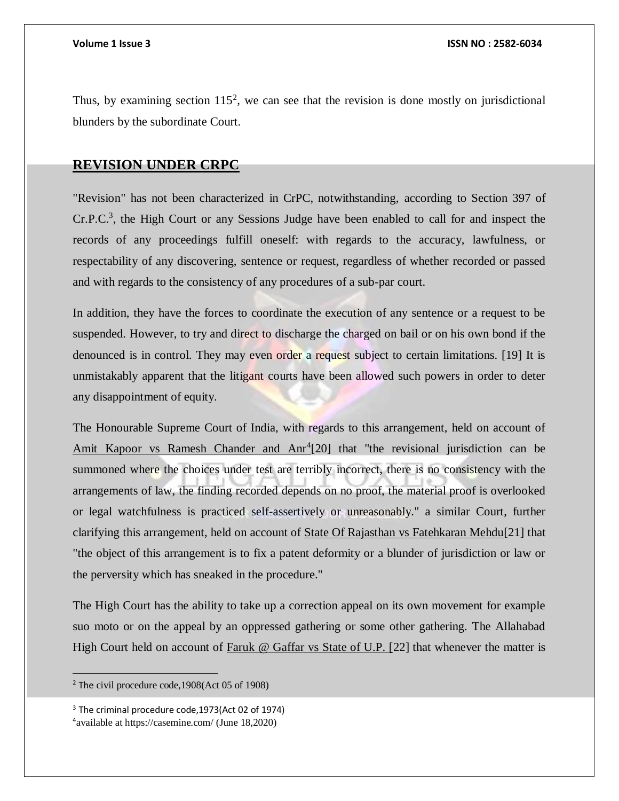Thus, by examining section  $115^2$ , we can see that the revision is done mostly on jurisdictional blunders by the subordinate Court.

## **REVISION UNDER CRPC**

"Revision" has not been characterized in CrPC, notwithstanding, according to Section 397 of  $Cr.P.C.<sup>3</sup>$ , the High Court or any Sessions Judge have been enabled to call for and inspect the records of any proceedings fulfill oneself: with regards to the accuracy, lawfulness, or respectability of any discovering, sentence or request, regardless of whether recorded or passed and with regards to the consistency of any procedures of a sub-par court.

In addition, they have the forces to coordinate the execution of any sentence or a request to be suspended. However, to try and direct to discharge the charged on bail or on his own bond if the denounced is in control. They may even order a request subject to certain limitations. [19] It is unmistakably apparent that the litigant courts have been allowed such powers in order to deter any disappointment of equity.

The Honourable Supreme Court of India, with regards to this arrangement, held on account of Amit Kapoor vs Ramesh Chander and Anr<sup>4</sup>[20] that "the revisional jurisdiction can be summoned where the choices under test are terribly incorrect, there is no consistency with the arrangements of law, the finding recorded depends on no proof, the material proof is overlooked or legal watchfulness is practiced self-assertively or unreasonably." a similar Court, further clarifying this arrangement, held on account of State Of Rajasthan vs Fatehkaran Mehdu[21] that "the object of this arrangement is to fix a patent deformity or a blunder of jurisdiction or law or the perversity which has sneaked in the procedure."

The High Court has the ability to take up a correction appeal on its own movement for example suo moto or on the appeal by an oppressed gathering or some other gathering. The Allahabad High Court held on account of Faruk @ Gaffar vs State of U.P. [22] that whenever the matter is

<sup>2</sup> The civil procedure code,1908(Act 05 of 1908)

<sup>&</sup>lt;sup>3</sup> The criminal procedure code, 1973(Act 02 of 1974) 4 available at https://casemine.com/ (June 18,2020)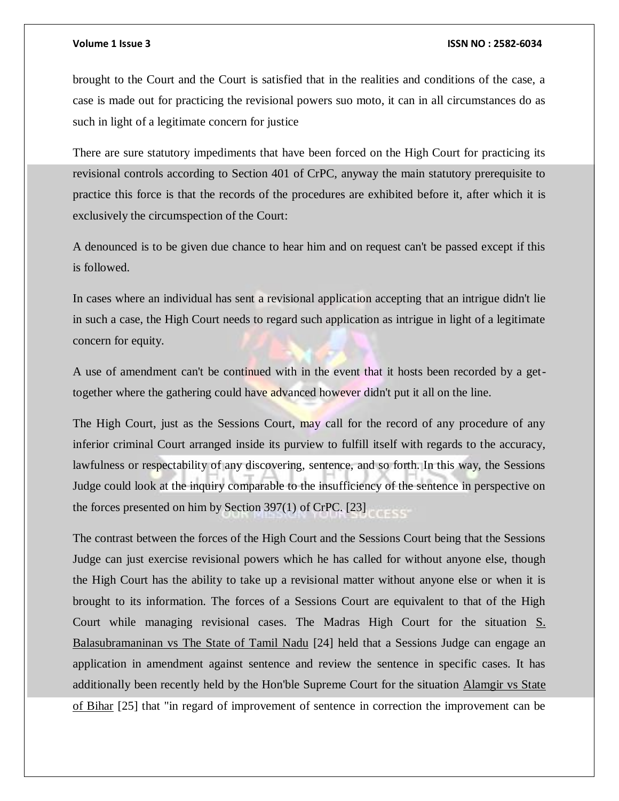#### **Volume 1 Issue 3 ISSN NO : 2582-6034**

brought to the Court and the Court is satisfied that in the realities and conditions of the case, a case is made out for practicing the revisional powers suo moto, it can in all circumstances do as such in light of a legitimate concern for justice

There are sure statutory impediments that have been forced on the High Court for practicing its revisional controls according to Section 401 of CrPC, anyway the main statutory prerequisite to practice this force is that the records of the procedures are exhibited before it, after which it is exclusively the circumspection of the Court:

A denounced is to be given due chance to hear him and on request can't be passed except if this is followed.

In cases where an individual has sent a revisional application accepting that an intrigue didn't lie in such a case, the High Court needs to regard such application as intrigue in light of a legitimate concern for equity.

A use of amendment can't be continued with in the event that it hosts been recorded by a gettogether where the gathering could have advanced however didn't put it all on the line.

The High Court, just as the Sessions Court, may call for the record of any procedure of any inferior criminal Court arranged inside its purview to fulfill itself with regards to the accuracy, lawfulness or respectability of any discovering, sentence, and so forth. In this way, the Sessions Judge could look at the inquiry comparable to the insufficiency of the sentence in perspective on the forces presented on him by Section 397(1) of CrPC. [23]

The contrast between the forces of the High Court and the Sessions Court being that the Sessions Judge can just exercise revisional powers which he has called for without anyone else, though the High Court has the ability to take up a revisional matter without anyone else or when it is brought to its information. The forces of a Sessions Court are equivalent to that of the High Court while managing revisional cases. The Madras High Court for the situation S. Balasubramaninan vs The State of Tamil Nadu [24] held that a Sessions Judge can engage an application in amendment against sentence and review the sentence in specific cases. It has additionally been recently held by the Hon'ble Supreme Court for the situation Alamgir vs State of Bihar [25] that "in regard of improvement of sentence in correction the improvement can be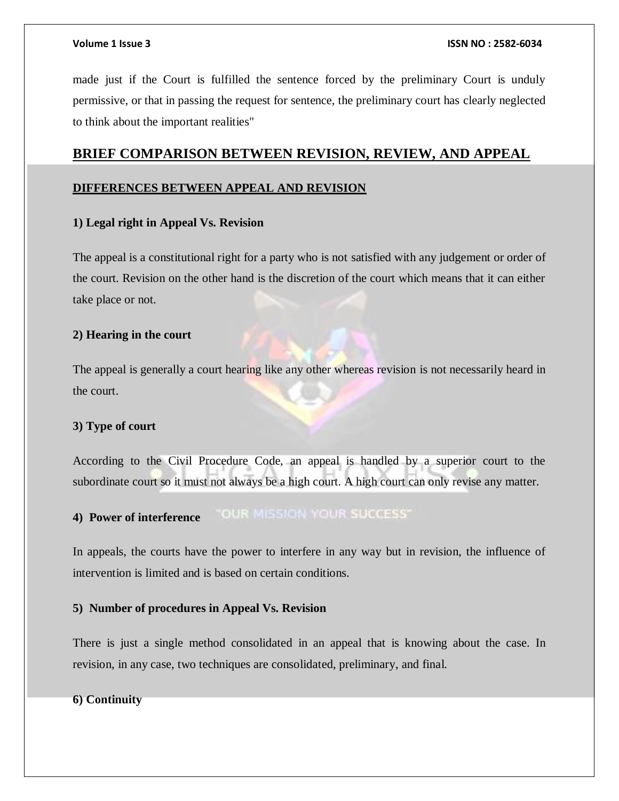made just if the Court is fulfilled the sentence forced by the preliminary Court is unduly permissive, or that in passing the request for sentence, the preliminary court has clearly neglected to think about the important realities"

## **BRIEF COMPARISON BETWEEN REVISION, REVIEW, AND APPEAL**

## **DIFFERENCES BETWEEN APPEAL AND REVISION**

### **1) Legal right in Appeal Vs. Revision**

The appeal is a constitutional right for a party who is not satisfied with any judgement or order of the court. Revision on the other hand is the discretion of the court which means that it can either take place or not.

### **2) Hearing in the court**

The appeal is generally a court hearing like any other whereas revision is not necessarily heard in the court.

#### **3) Type of court**

According to the Civil Procedure Code, an appeal is handled by a superior court to the subordinate court so it must not always be a high court. A high court can only revise any matter.

#### "OUR MISSION YOUR SUCCESS" **4) Power of interference**

In appeals, the courts have the power to interfere in any way but in revision, the influence of intervention is limited and is based on certain conditions.

#### **5) Number of procedures in Appeal Vs. Revision**

There is just a single method consolidated in an appeal that is knowing about the case. In revision, in any case, two techniques are consolidated, preliminary, and final.

#### **6) Continuity**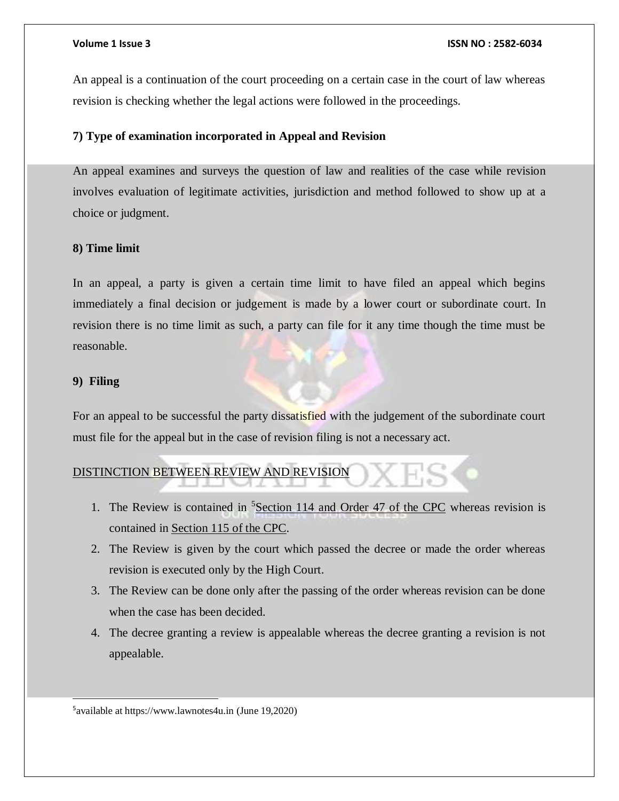An appeal is a continuation of the court proceeding on a certain case in the court of law whereas revision is checking whether the legal actions were followed in the proceedings.

## **7) Type of examination incorporated in Appeal and Revision**

An appeal examines and surveys the question of law and realities of the case while revision involves evaluation of legitimate activities, jurisdiction and method followed to show up at a choice or judgment.

### **8) Time limit**

In an appeal, a party is given a certain time limit to have filed an appeal which begins immediately a final decision or judgement is made by a lower court or subordinate court. In revision there is no time limit as such, a party can file for it any time though the time must be reasonable.

### **9) Filing**

l

For an appeal to be successful the party dissatisfied with the judgement of the subordinate court must file for the appeal but in the case of revision filing is not a necessary act.

## DISTINCTION BETWEEN REVIEW AND REVISION

- 1. The Review is contained in <sup>5</sup>[Section 114 and Order 47 of the CPC](http://www.mondaq.com/india/x/136864/Copyright/Courts+Powers+Under+Section+114+Read+With+Order+47+Rule+1+Civil+Procedure+Code+Narrow+And+Confined+Delhi+High+Court) whereas revision is contained in [Section 115 of the CPC.](http://www.aaptaxlaw.com/code-of-civil-procedure/section-115-115a-code-of-civil-procedure-revision-district-court-powers-of-revision-section-115-115a-of-cpc-1908-code-of-civil-procedure.html)
- 2. The Review is given by the court which passed the decree or made the order whereas revision is executed only by the High Court.
- 3. The Review can be done only after the passing of the order whereas revision can be done when the case has been decided.
- 4. The decree granting a review is appealable whereas the decree granting a revision is not appealable.

5 available at https://www.lawnotes4u.in (June 19,2020)